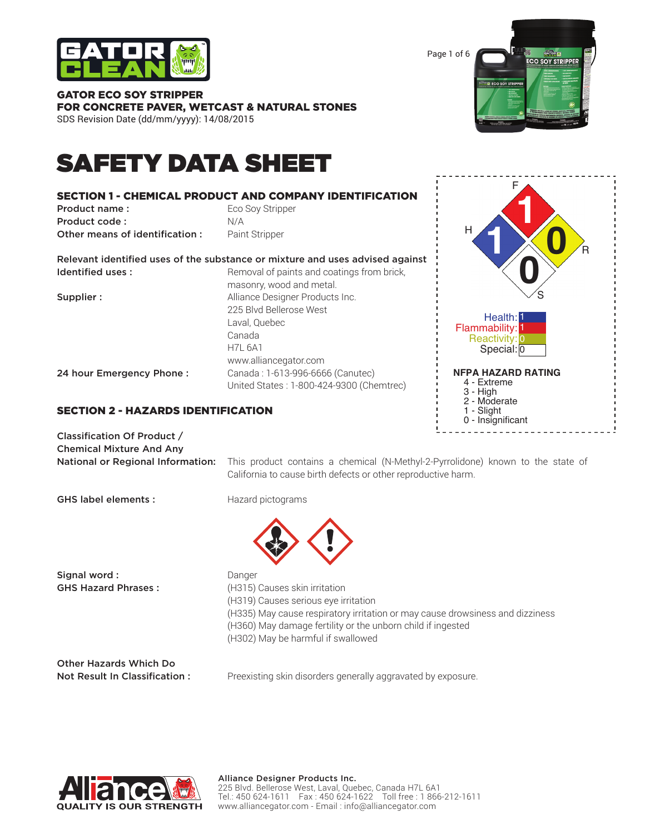

GATOR ECO SOY STRIPPER

Page 1 of 6 **ECO SOY STRIPPER** 

# FOR CONCRETE PAVER, WETCAST & NATURAL STONES SDS Revision Date (dd/mm/yyyy): 14/08/2015

# SAFETY DATA SHEET

# SECTION 1 - CHEMICAL PRODUCT AND COMPANY IDENTIFICATION **Product name:** Eco Soy Stripper Product code : N/A **Other means of identification :** Paint Stripper Relevant identified uses of the substance or mixture and uses advised against Identified uses: Removal of paints and coatings from brick, masonry, wood and metal. **Supplier :** Alliance Designer Products Inc. 225 Blvd Bellerose West Laval, Quebec Canada H7L 6A1 www.alliancegator.com 24 hour Emergency Phone : Canada : 1-613-996-6666 (Canutec) United States : 1-800-424-9300 (Chemtrec)



# SECTION 2 - HAZARDS IDENTIFICATION

| Classification Of Product /       |
|-----------------------------------|
| <b>Chemical Mixture And Any</b>   |
| National or Regional Information: |

This product contains a chemical (N-Methyl-2-Pyrrolidone) known to the state of California to cause birth defects or other reproductive harm.

GHS label elements : Hazard pictograms



Signal word : **Danger Danger** 

GHS Hazard Phrases : (H315) Causes skin irritation (H319) Causes serious eye irritation (H335) May cause respiratory irritation or may cause drowsiness and dizziness (H360) May damage fertility or the unborn child if ingested (H302) May be harmful if swallowed

Other Hazards Which Do

Not Result In Classification : Preexisting skin disorders generally aggravated by exposure.

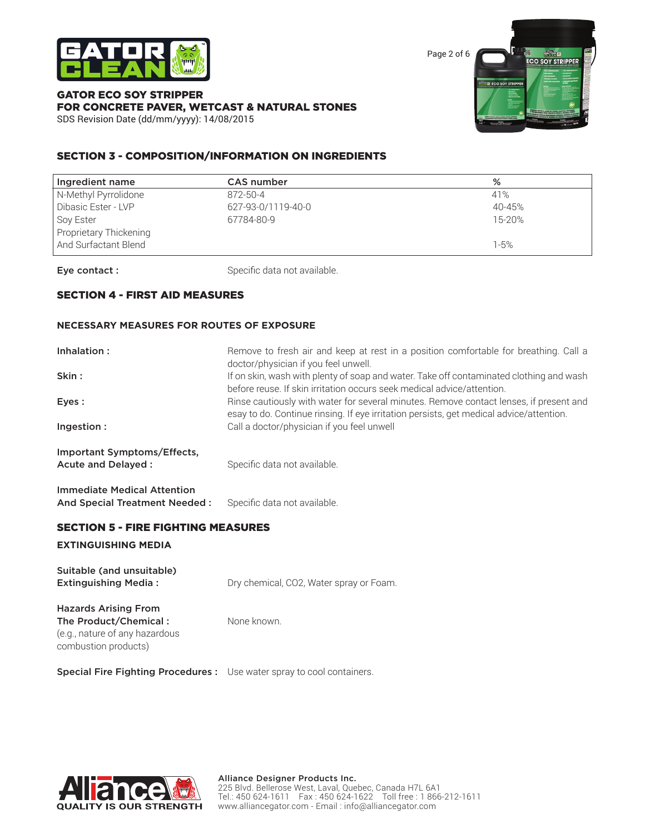

Page 2 of 6 **ECO SOY STRIPPER OY STRI** 

#### GATOR ECO SOY STRIPPER FOR CONCRETE PAVER, WETCAST & NATURAL STONES SDS Revision Date (dd/mm/yyyy): 14/08/2015

# SECTION 3 - COMPOSITION/INFORMATION ON INGREDIENTS

| Ingredient name        | CAS number         | %      |
|------------------------|--------------------|--------|
| N-Methyl Pyrrolidone   | 872-50-4           | 41%    |
| Dibasic Ester - LVP    | 627-93-0/1119-40-0 | 40-45% |
| Soy Ester              | 67784-80-9         | 15-20% |
| Proprietary Thickening |                    |        |
| And Surfactant Blend   |                    | 1-5%   |

Eye contact : Specific data not available.

# SECTION 4 - FIRST AID MEASURES

#### **NECESSARY MEASURES FOR ROUTES OF EXPOSURE**

| Inhalation:<br>Skin:                                                | Remove to fresh air and keep at rest in a position comfortable for breathing. Call a<br>doctor/physician if you feel unwell.<br>If on skin, wash with plenty of soap and water. Take off contaminated clothing and wash                                     |
|---------------------------------------------------------------------|-------------------------------------------------------------------------------------------------------------------------------------------------------------------------------------------------------------------------------------------------------------|
| Eyes:                                                               | before reuse. If skin irritation occurs seek medical advice/attention.<br>Rinse cautiously with water for several minutes. Remove contact lenses, if present and<br>esay to do. Continue rinsing. If eye irritation persists, get medical advice/attention. |
| Ingestion:                                                          | Call a doctor/physician if you feel unwell                                                                                                                                                                                                                  |
| Important Symptoms/Effects,<br>Acute and Delayed:                   | Specific data not available.                                                                                                                                                                                                                                |
| <b>Immediate Medical Attention</b><br>And Special Treatment Needed: | Specific data not available.                                                                                                                                                                                                                                |

### SECTION 5 - FIRE FIGHTING MEASURES

#### **EXTINGUISHING MEDIA**

| Suitable (and unsuitable)<br><b>Extinguishing Media:</b>                                                       | Dry chemical, CO2, Water spray or Foam. |
|----------------------------------------------------------------------------------------------------------------|-----------------------------------------|
| <b>Hazards Arising From</b><br>The Product/Chemical:<br>(e.g., nature of any hazardous<br>combustion products) | None known.                             |

Special Fire Fighting Procedures : Use water spray to cool containers.

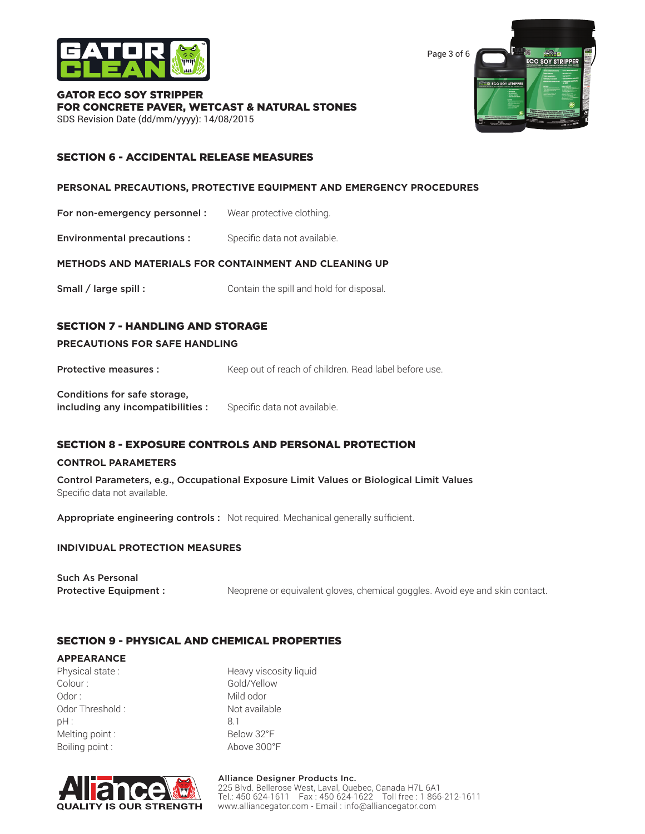

Page 3 of 6 **ECO SOY STRIPPER** 

GATOR ECO SOY STRIPPER FOR CONCRETE PAVER, WETCAST & NATURAL STONES SDS Revision Date (dd/mm/yyyy): 14/08/2015

# SECTION 6 - ACCIDENTAL RELEASE MEASURES

#### **PERSONAL PRECAUTIONS, PROTECTIVE EQUIPMENT AND EMERGENCY PROCEDURES**

For non-emergency personnel : Wear protective clothing.

**Environmental precautions :** Specific data not available.

#### **METHODS AND MATERIALS FOR CONTAINMENT AND CLEANING UP**

Small / large spill : Contain the spill and hold for disposal.

# SECTION 7 - HANDLING AND STORAGE

#### **PRECAUTIONS FOR SAFE HANDLING**

**Protective measures :** Keep out of reach of children. Read label before use.

Conditions for safe storage, including any incompatibilities : Specific data not available.

### SECTION 8 - EXPOSURE CONTROLS AND PERSONAL PROTECTION

#### **CONTROL PARAMETERS**

Control Parameters, e.g., Occupational Exposure Limit Values or Biological Limit Values Specific data not available.

Appropriate engineering controls : Not required. Mechanical generally sufficient.

#### **INDIVIDUAL PROTECTION MEASURES**

| <b>Such As Personal</b>      |                                                                              |
|------------------------------|------------------------------------------------------------------------------|
| <b>Protective Equipment:</b> | Neoprene or equivalent gloves, chemical goggles. Avoid eye and skin contact. |

### SECTION 9 - PHYSICAL AND CHEMICAL PROPERTIES

#### **APPEARANCE**

Colour : Gold/Yellow Odor : Mild odor : Odor Threshold : Not available pH : 8.1 Melting point : Below 32°F Boiling point : Above 300°F

Physical state : Heavy viscosity liquid



#### Alliance Designer Products Inc. 225 Blvd. Bellerose West, Laval, Quebec, Canada H7L 6A1 Tel.: 450 624-1611 Fax : 450 624-1622 Toll free : 1 866-212-1611 www.alliancegator.com - Email : info@alliancegator.com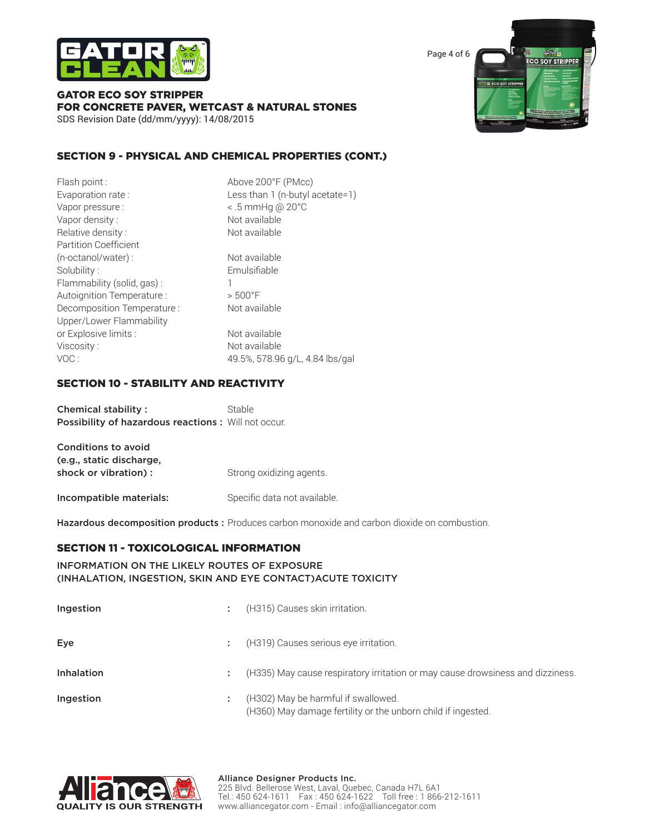

Page 4 of 6 ENRY **ECO SOY STRIPPER** *STRI* 

#### GATOR ECO SOY STRIPPER FOR CONCRETE PAVER, WETCAST & NATURAL STONES SDS Revision Date (dd/mm/yyyy): 14/08/2015

# SECTION 9 - PHYSICAL AND CHEMICAL PROPERTIES (CONT.)

| Flash point :                | Above 200°F (PMcc)               |
|------------------------------|----------------------------------|
| Evaporation rate:            | Less than 1 (n-butyl acetate=1)  |
| Vapor pressure :             | $\leq$ .5 mmHg @ 20 $^{\circ}$ C |
| Vapor density:               | Not available                    |
| Relative density:            | Not available                    |
| <b>Partition Coefficient</b> |                                  |
| (n-octanol/water):           | Not available                    |
| Solubility:                  | Emulsifiable                     |
| Flammability (solid, gas):   |                                  |
| Autoignition Temperature :   | $> 500$ °F                       |
| Decomposition Temperature :  | Not available                    |
| Upper/Lower Flammability     |                                  |
| or Explosive limits :        | Not available                    |
| Viscosity:                   | Not available                    |
| VOC:                         | 49.5%, 578.96 g/L, 4.84 lbs/gal  |
|                              |                                  |

#### SECTION 10 - STABILITY AND REACTIVITY

Chemical stability : Stable Possibility of hazardous reactions : Will not occur.

| <b>Conditions to avoid</b> |                              |
|----------------------------|------------------------------|
| (e.g., static discharge,   |                              |
| shock or vibration) :      | Strong oxidizing agents.     |
| Incompatible materials:    | Specific data not available. |

Hazardous decomposition products : Produces carbon monoxide and carbon dioxide on combustion.

### SECTION 11 - TOXICOLOGICAL INFORMATION

#### INFORMATION ON THE LIKELY ROUTES OF EXPOSURE (INHALATION, INGESTION, SKIN AND EYE CONTACT)ACUTE TOXICITY

| Ingestion  | (H315) Causes skin irritation.                                                                      |
|------------|-----------------------------------------------------------------------------------------------------|
| Eye        | (H319) Causes serious eye irritation.                                                               |
| Inhalation | (H335) May cause respiratory irritation or may cause drowsiness and dizziness.                      |
| Ingestion  | (H302) May be harmful if swallowed.<br>(H360) May damage fertility or the unborn child if ingested. |

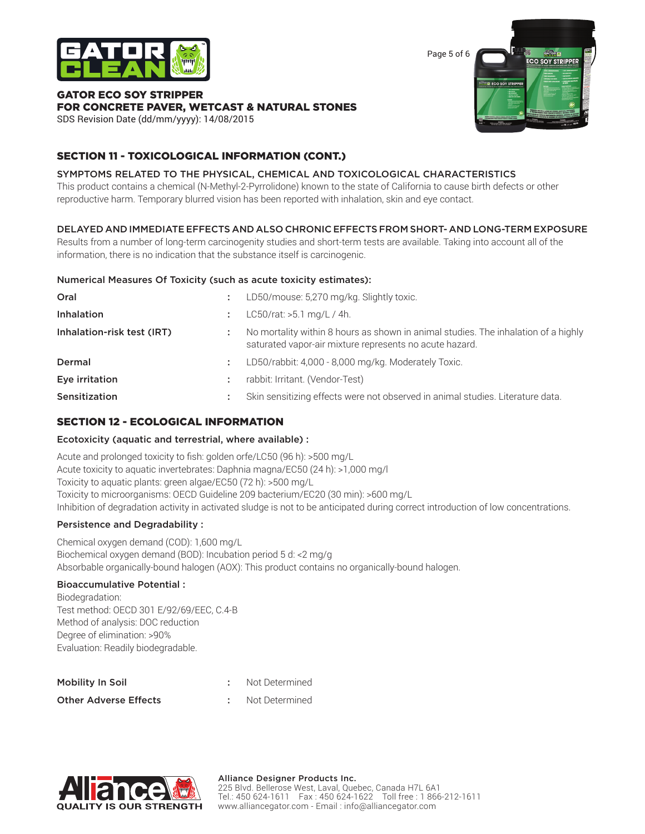

Page 5 of 6 **CO SOY STRIPPER** 

#### GATOR ECO SOY STRIPPER FOR CONCRETE PAVER, WETCAST & NATURAL STONES SDS Revision Date (dd/mm/yyyy): 14/08/2015

# SECTION 11 - TOXICOLOGICAL INFORMATION (CONT.)

# SYMPTOMS RELATED TO THE PHYSICAL, CHEMICAL AND TOXICOLOGICAL CHARACTERISTICS

This product contains a chemical (N-Methyl-2-Pyrrolidone) known to the state of California to cause birth defects or other reproductive harm. Temporary blurred vision has been reported with inhalation, skin and eye contact.

# DELAYED AND IMMEDIATE EFFECTS AND ALSO CHRONIC EFFECTS FROM SHORT- AND LONG-TERM EXPOSURE

Results from a number of long-term carcinogenity studies and short-term tests are available. Taking into account all of the information, there is no indication that the substance itself is carcinogenic.

### Numerical Measures Of Toxicity (such as acute toxicity estimates):

| Oral                       | ÷ | LD50/mouse: 5,270 mg/kg. Slightly toxic.                                                                                                      |
|----------------------------|---|-----------------------------------------------------------------------------------------------------------------------------------------------|
| <b>Inhalation</b>          |   | $L C50/rat$ : >5.1 mg/L / 4h.                                                                                                                 |
| Inhalation-risk test (IRT) |   | No mortality within 8 hours as shown in animal studies. The inhalation of a highly<br>saturated vapor-air mixture represents no acute hazard. |
| Dermal                     | ÷ | LD50/rabbit: 4,000 - 8,000 mg/kg. Moderately Toxic.                                                                                           |
| Eye irritation             |   | rabbit: Irritant. (Vendor-Test)                                                                                                               |
| Sensitization              |   | Skin sensitizing effects were not observed in animal studies. Literature data.                                                                |

# SECTION 12 - ECOLOGICAL INFORMATION

### Ecotoxicity (aquatic and terrestrial, where available) :

Acute and prolonged toxicity to fish: golden orfe/LC50 (96 h): >500 mg/L Acute toxicity to aquatic invertebrates: Daphnia magna/EC50 (24 h): >1,000 mg/l Toxicity to aquatic plants: green algae/EC50 (72 h): >500 mg/L Toxicity to microorganisms: OECD Guideline 209 bacterium/EC20 (30 min): >600 mg/L Inhibition of degradation activity in activated sludge is not to be anticipated during correct introduction of low concentrations.

# Persistence and Degradability :

Chemical oxygen demand (COD): 1,600 mg/L Biochemical oxygen demand (BOD): Incubation period 5 d: <2 mg/g Absorbable organically-bound halogen (AOX): This product contains no organically-bound halogen.

### Bioaccumulative Potential :

Biodegradation: Test method: OECD 301 E/92/69/EEC, C.4-B Method of analysis: DOC reduction Degree of elimination: >90% Evaluation: Readily biodegradable.

| Mobility In Soil             | Not Determined |
|------------------------------|----------------|
| <b>Other Adverse Effects</b> | Not Determined |